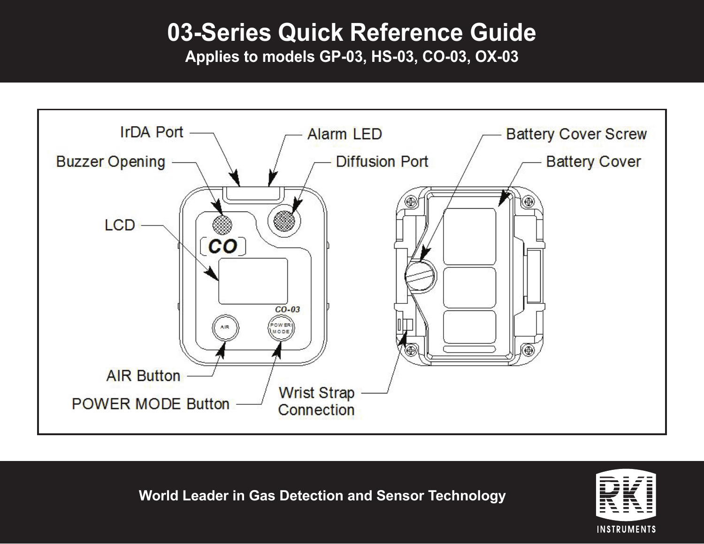# **03-Series Quick Reference Guide**

**Applies to models GP-03, HS-03, CO-03, OX-03**



**World Leader in Gas Detection and Sensor Technology**